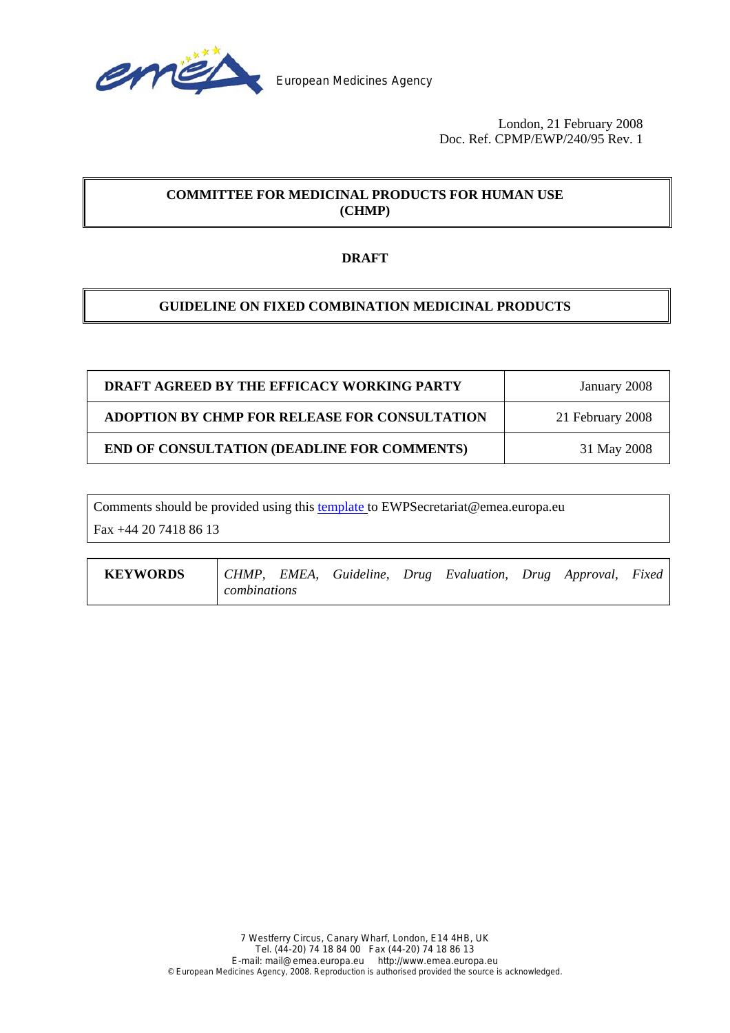

 London, 21 February 2008 Doc. Ref. CPMP/EWP/240/95 Rev. 1

# **COMMITTEE FOR MEDICINAL PRODUCTS FOR HUMAN USE (CHMP)**

# **DRAFT**

# **GUIDELINE ON FIXED COMBINATION MEDICINAL PRODUCTS**

| DRAFT AGREED BY THE EFFICACY WORKING PARTY    | January 2008     |
|-----------------------------------------------|------------------|
| ADOPTION BY CHMP FOR RELEASE FOR CONSULTATION | 21 February 2008 |
| END OF CONSULTATION (DEADLINE FOR COMMENTS)   | 31 May 2008      |

Comments should be provided using this [template](http://www.emea.europa.eu/pdfs/human/regaffair/submitcomment.doc) to EWPSecretariat@emea.europa.eu

Fax +44 20 7418 86 13

| <b>KEYWORDS</b> |              |  |  | CHMP, EMEA, Guideline, Drug Evaluation, Drug Approval, Fixed |  |  |
|-----------------|--------------|--|--|--------------------------------------------------------------|--|--|
|                 | combinations |  |  |                                                              |  |  |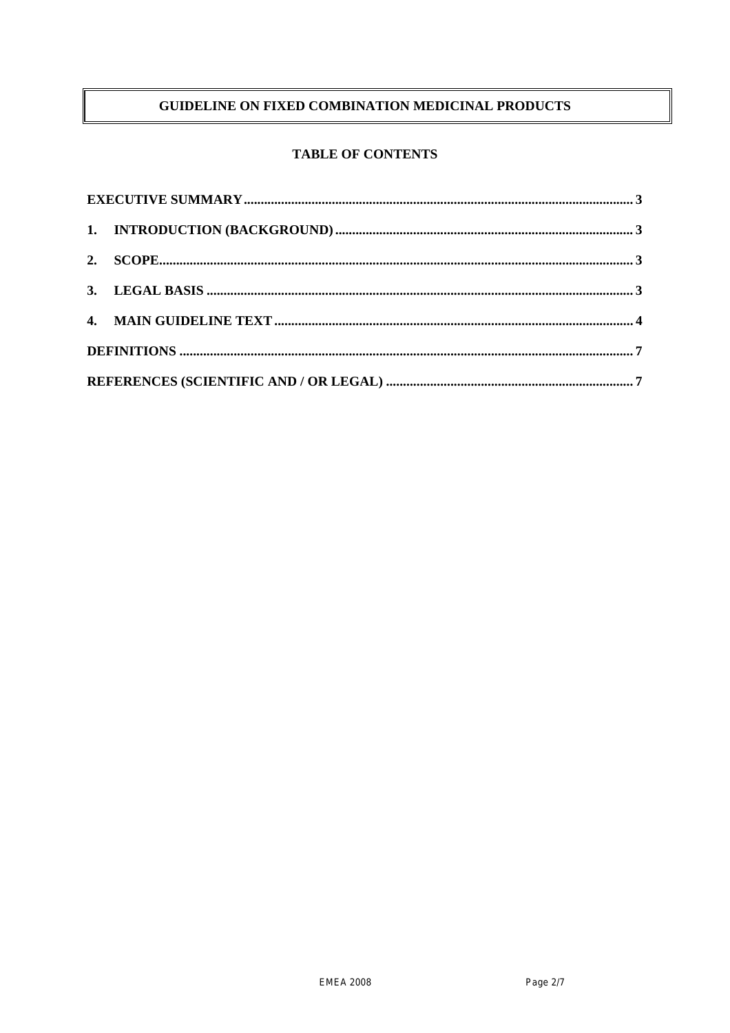# GUIDELINE ON FIXED COMBINATION MEDICINAL PRODUCTS

# **TABLE OF CONTENTS**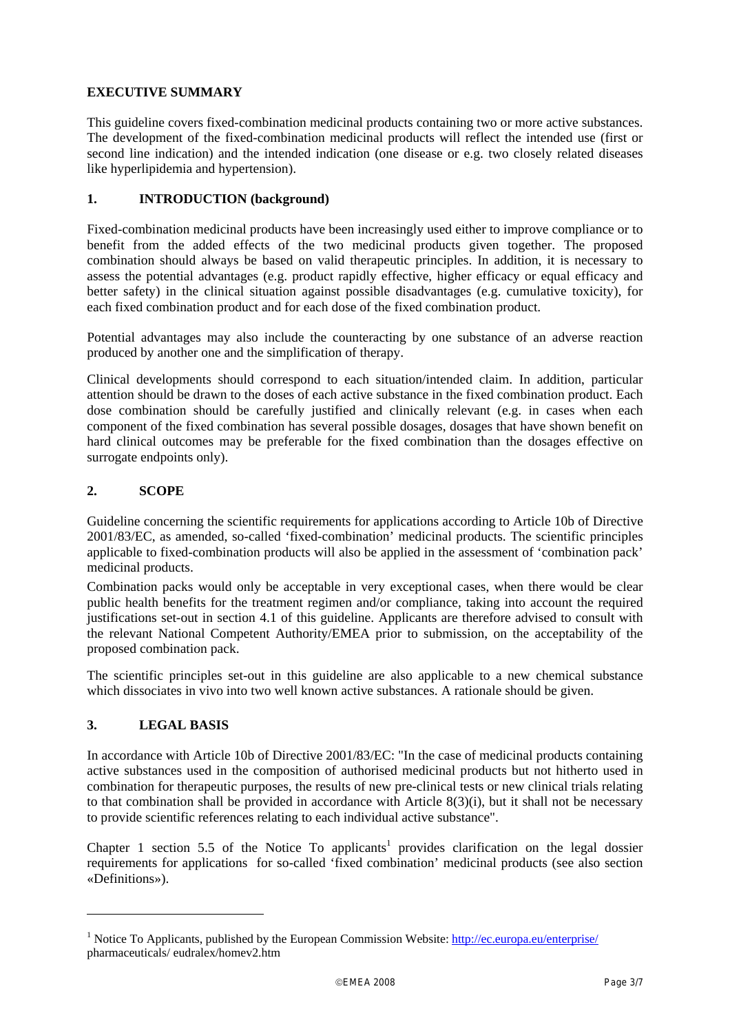## **EXECUTIVE SUMMARY**

This guideline covers fixed-combination medicinal products containing two or more active substances. The development of the fixed-combination medicinal products will reflect the intended use (first or second line indication) and the intended indication (one disease or e.g. two closely related diseases like hyperlipidemia and hypertension).

### **1. INTRODUCTION (background)**

Fixed-combination medicinal products have been increasingly used either to improve compliance or to benefit from the added effects of the two medicinal products given together. The proposed combination should always be based on valid therapeutic principles. In addition, it is necessary to assess the potential advantages (e.g. product rapidly effective, higher efficacy or equal efficacy and better safety) in the clinical situation against possible disadvantages (e.g. cumulative toxicity), for each fixed combination product and for each dose of the fixed combination product.

Potential advantages may also include the counteracting by one substance of an adverse reaction produced by another one and the simplification of therapy.

Clinical developments should correspond to each situation/intended claim. In addition, particular attention should be drawn to the doses of each active substance in the fixed combination product. Each dose combination should be carefully justified and clinically relevant (e.g. in cases when each component of the fixed combination has several possible dosages, dosages that have shown benefit on hard clinical outcomes may be preferable for the fixed combination than the dosages effective on surrogate endpoints only).

## **2. SCOPE**

Guideline concerning the scientific requirements for applications according to Article 10b of Directive 2001/83/EC, as amended, so-called 'fixed-combination' medicinal products. The scientific principles applicable to fixed-combination products will also be applied in the assessment of 'combination pack' medicinal products.

Combination packs would only be acceptable in very exceptional cases, when there would be clear public health benefits for the treatment regimen and/or compliance, taking into account the required justifications set-out in section 4.1 of this guideline. Applicants are therefore advised to consult with the relevant National Competent Authority/EMEA prior to submission, on the acceptability of the proposed combination pack.

The scientific principles set-out in this guideline are also applicable to a new chemical substance which dissociates in vivo into two well known active substances. A rationale should be given.

# **3. LEGAL BASIS**

l

In accordance with Article 10b of Directive 2001/83/EC: "In the case of medicinal products containing active substances used in the composition of authorised medicinal products but not hitherto used in combination for therapeutic purposes, the results of new pre-clinical tests or new clinical trials relating to that combination shall be provided in accordance with Article 8(3)(i), but it shall not be necessary to provide scientific references relating to each individual active substance".

Chapter 1 section 5.5 of the Notice To applicants<sup>1</sup> provides clarification on the legal dossier requirements for applications for so-called 'fixed combination' medicinal products (see also section «Definitions»).

<sup>&</sup>lt;sup>1</sup> Notice To Applicants, published by the European Commission Website: http://ec.europa.eu/enterprise/ pharmaceuticals/ eudralex/homev2.htm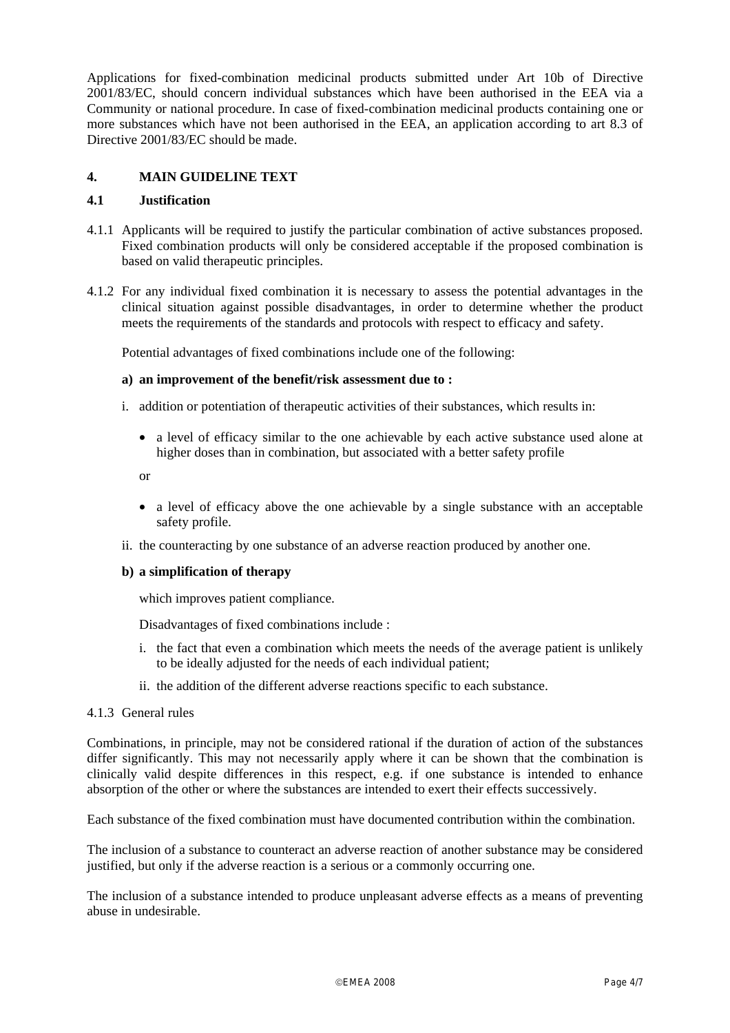Applications for fixed-combination medicinal products submitted under Art 10b of Directive 2001/83/EC, should concern individual substances which have been authorised in the EEA via a Community or national procedure. In case of fixed-combination medicinal products containing one or more substances which have not been authorised in the EEA, an application according to art 8.3 of Directive 2001/83/EC should be made.

# **4. MAIN GUIDELINE TEXT**

#### **4.1 Justification**

- 4.1.1 Applicants will be required to justify the particular combination of active substances proposed. Fixed combination products will only be considered acceptable if the proposed combination is based on valid therapeutic principles.
- 4.1.2 For any individual fixed combination it is necessary to assess the potential advantages in the clinical situation against possible disadvantages, in order to determine whether the product meets the requirements of the standards and protocols with respect to efficacy and safety.

Potential advantages of fixed combinations include one of the following:

#### **a) an improvement of the benefit/risk assessment due to :**

- i. addition or potentiation of therapeutic activities of their substances, which results in:
	- a level of efficacy similar to the one achievable by each active substance used alone at higher doses than in combination, but associated with a better safety profile

or

- a level of efficacy above the one achievable by a single substance with an acceptable safety profile.
- ii. the counteracting by one substance of an adverse reaction produced by another one.

#### **b) a simplification of therapy**

which improves patient compliance.

Disadvantages of fixed combinations include :

- i. the fact that even a combination which meets the needs of the average patient is unlikely to be ideally adjusted for the needs of each individual patient;
- ii. the addition of the different adverse reactions specific to each substance.

#### 4.1.3 General rules

Combinations, in principle, may not be considered rational if the duration of action of the substances differ significantly. This may not necessarily apply where it can be shown that the combination is clinically valid despite differences in this respect, e.g. if one substance is intended to enhance absorption of the other or where the substances are intended to exert their effects successively.

Each substance of the fixed combination must have documented contribution within the combination.

The inclusion of a substance to counteract an adverse reaction of another substance may be considered justified, but only if the adverse reaction is a serious or a commonly occurring one.

The inclusion of a substance intended to produce unpleasant adverse effects as a means of preventing abuse in undesirable.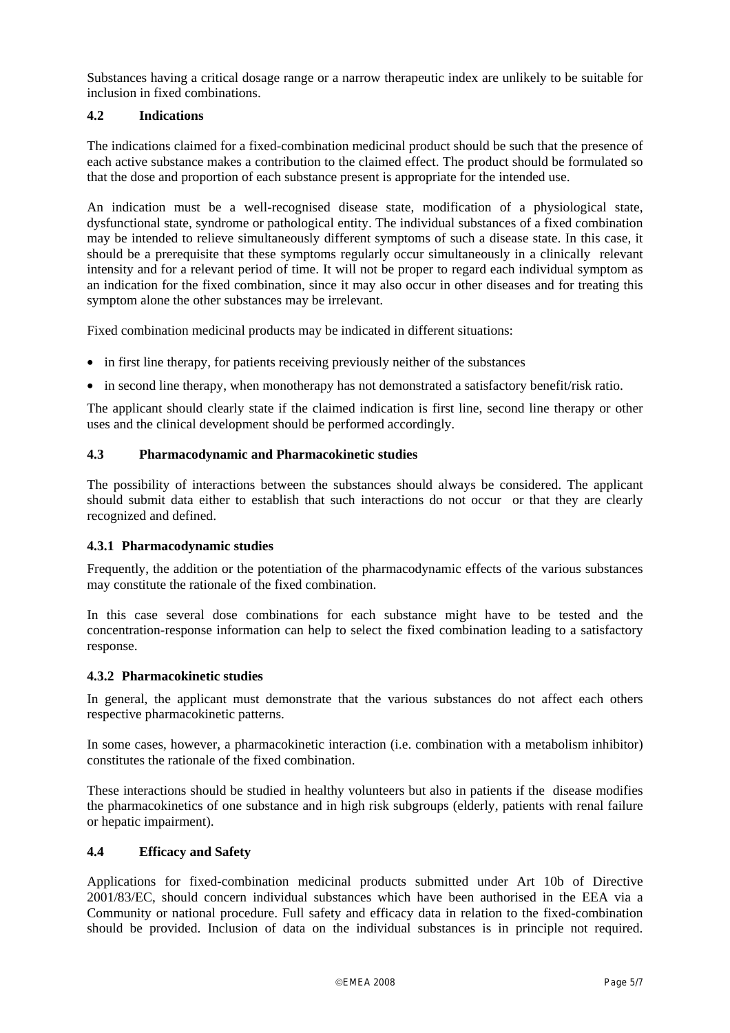Substances having a critical dosage range or a narrow therapeutic index are unlikely to be suitable for inclusion in fixed combinations.

## **4.2 Indications**

The indications claimed for a fixed-combination medicinal product should be such that the presence of each active substance makes a contribution to the claimed effect. The product should be formulated so that the dose and proportion of each substance present is appropriate for the intended use.

An indication must be a well-recognised disease state, modification of a physiological state, dysfunctional state, syndrome or pathological entity. The individual substances of a fixed combination may be intended to relieve simultaneously different symptoms of such a disease state. In this case, it should be a prerequisite that these symptoms regularly occur simultaneously in a clinically relevant intensity and for a relevant period of time. It will not be proper to regard each individual symptom as an indication for the fixed combination, since it may also occur in other diseases and for treating this symptom alone the other substances may be irrelevant.

Fixed combination medicinal products may be indicated in different situations:

- in first line therapy, for patients receiving previously neither of the substances
- in second line therapy, when monotherapy has not demonstrated a satisfactory benefit/risk ratio.

The applicant should clearly state if the claimed indication is first line, second line therapy or other uses and the clinical development should be performed accordingly.

## **4.3 Pharmacodynamic and Pharmacokinetic studies**

The possibility of interactions between the substances should always be considered. The applicant should submit data either to establish that such interactions do not occur or that they are clearly recognized and defined.

#### **4.3.1 Pharmacodynamic studies**

Frequently, the addition or the potentiation of the pharmacodynamic effects of the various substances may constitute the rationale of the fixed combination.

In this case several dose combinations for each substance might have to be tested and the concentration-response information can help to select the fixed combination leading to a satisfactory response.

#### **4.3.2 Pharmacokinetic studies**

In general, the applicant must demonstrate that the various substances do not affect each others respective pharmacokinetic patterns.

In some cases, however, a pharmacokinetic interaction (i.e. combination with a metabolism inhibitor) constitutes the rationale of the fixed combination.

These interactions should be studied in healthy volunteers but also in patients if the disease modifies the pharmacokinetics of one substance and in high risk subgroups (elderly, patients with renal failure or hepatic impairment).

### **4.4 Efficacy and Safety**

Applications for fixed-combination medicinal products submitted under Art 10b of Directive 2001/83/EC, should concern individual substances which have been authorised in the EEA via a Community or national procedure. Full safety and efficacy data in relation to the fixed-combination should be provided. Inclusion of data on the individual substances is in principle not required.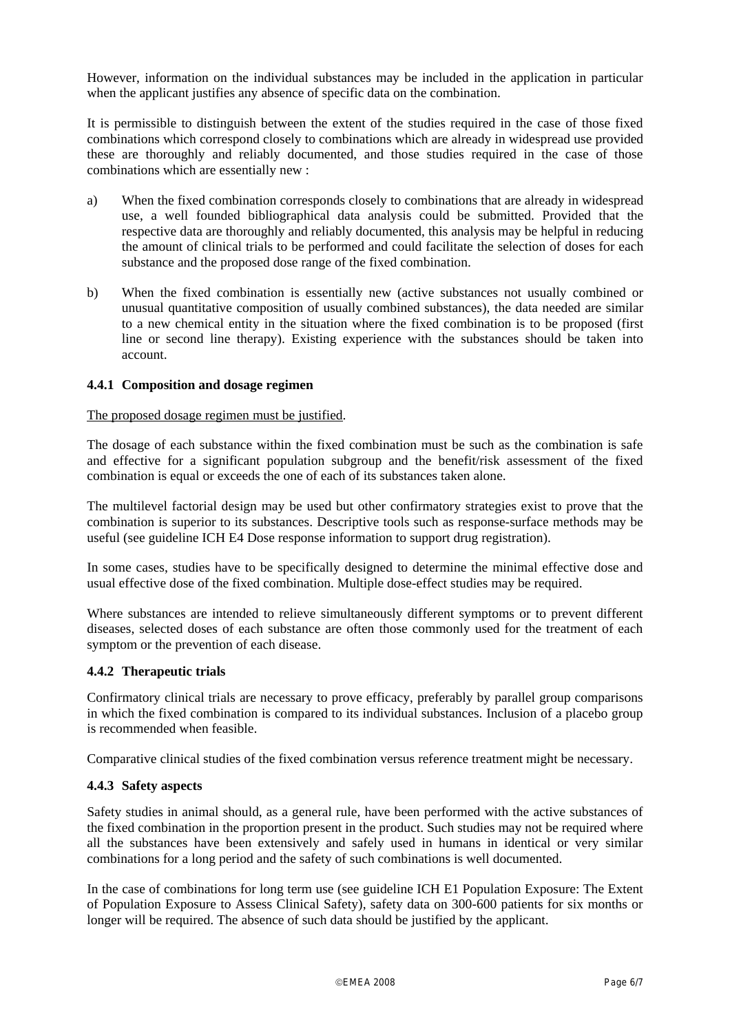However, information on the individual substances may be included in the application in particular when the applicant justifies any absence of specific data on the combination.

It is permissible to distinguish between the extent of the studies required in the case of those fixed combinations which correspond closely to combinations which are already in widespread use provided these are thoroughly and reliably documented, and those studies required in the case of those combinations which are essentially new :

- a) When the fixed combination corresponds closely to combinations that are already in widespread use, a well founded bibliographical data analysis could be submitted. Provided that the respective data are thoroughly and reliably documented, this analysis may be helpful in reducing the amount of clinical trials to be performed and could facilitate the selection of doses for each substance and the proposed dose range of the fixed combination.
- b) When the fixed combination is essentially new (active substances not usually combined or unusual quantitative composition of usually combined substances), the data needed are similar to a new chemical entity in the situation where the fixed combination is to be proposed (first line or second line therapy). Existing experience with the substances should be taken into account.

#### **4.4.1 Composition and dosage regimen**

#### The proposed dosage regimen must be justified.

The dosage of each substance within the fixed combination must be such as the combination is safe and effective for a significant population subgroup and the benefit/risk assessment of the fixed combination is equal or exceeds the one of each of its substances taken alone.

The multilevel factorial design may be used but other confirmatory strategies exist to prove that the combination is superior to its substances. Descriptive tools such as response-surface methods may be useful (see guideline ICH E4 Dose response information to support drug registration).

In some cases, studies have to be specifically designed to determine the minimal effective dose and usual effective dose of the fixed combination. Multiple dose-effect studies may be required.

Where substances are intended to relieve simultaneously different symptoms or to prevent different diseases, selected doses of each substance are often those commonly used for the treatment of each symptom or the prevention of each disease.

#### **4.4.2 Therapeutic trials**

Confirmatory clinical trials are necessary to prove efficacy, preferably by parallel group comparisons in which the fixed combination is compared to its individual substances. Inclusion of a placebo group is recommended when feasible.

Comparative clinical studies of the fixed combination versus reference treatment might be necessary.

#### **4.4.3 Safety aspects**

Safety studies in animal should, as a general rule, have been performed with the active substances of the fixed combination in the proportion present in the product. Such studies may not be required where all the substances have been extensively and safely used in humans in identical or very similar combinations for a long period and the safety of such combinations is well documented.

In the case of combinations for long term use (see guideline ICH E1 Population Exposure: The Extent of Population Exposure to Assess Clinical Safety), safety data on 300-600 patients for six months or longer will be required. The absence of such data should be justified by the applicant.